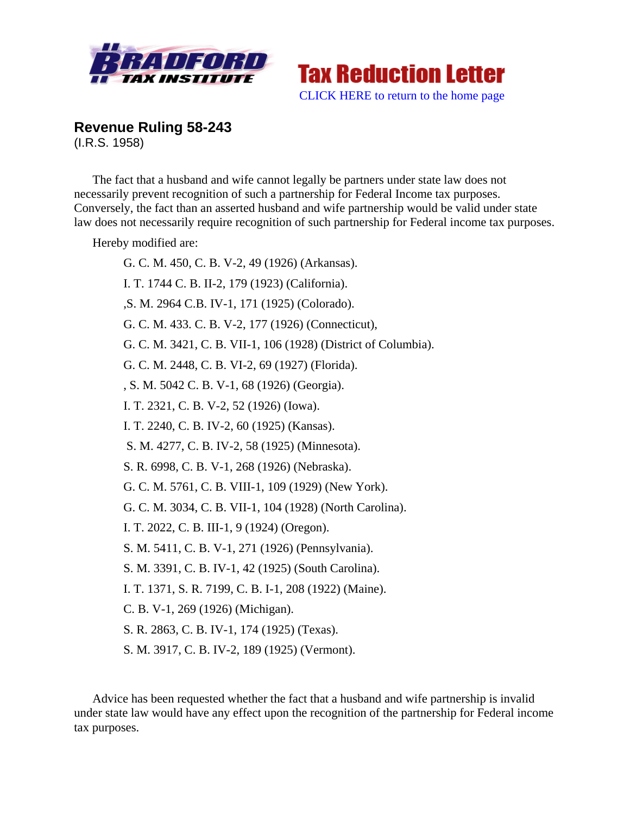



**Revenue Ruling 58-243**  (I.R.S. 1958)

The fact that a husband and wife cannot legally be partners under state law does not necessarily prevent recognition of such a partnership for Federal Income tax purposes. Conversely, the fact than an asserted husband and wife partnership would be valid under state law does not necessarily require recognition of such partnership for Federal income tax purposes.

Hereby modified are:

G. C. M. 450, C. B. V-2, 49 (1926) (Arkansas). I. T. 1744 C. B. II-2, 179 (1923) (California). ,S. M. 2964 C.B. IV-1, 171 (1925) (Colorado). G. C. M. 433. C. B. V-2, 177 (1926) (Connecticut), G. C. M. 3421, C. B. VII-1, 106 (1928) (District of Columbia). G. C. M. 2448, C. B. VI-2, 69 (1927) (Florida). , S. M. 5042 C. B. V-1, 68 (1926) (Georgia). I. T. 2321, C. B. V-2, 52 (1926) (Iowa). I. T. 2240, C. B. IV-2, 60 (1925) (Kansas). S. M. 4277, C. B. IV-2, 58 (1925) (Minnesota). S. R. 6998, C. B. V-1, 268 (1926) (Nebraska). G. C. M. 5761, C. B. VIII-1, 109 (1929) (New York). G. C. M. 3034, C. B. VII-1, 104 (1928) (North Carolina). I. T. 2022, C. B. III-1, 9 (1924) (Oregon). S. M. 5411, C. B. V-1, 271 (1926) (Pennsylvania). S. M. 3391, C. B. IV-1, 42 (1925) (South Carolina). I. T. 1371, S. R. 7199, C. B. I-1, 208 (1922) (Maine). C. B. V-1, 269 (1926) (Michigan). S. R. 2863, C. B. IV-1, 174 (1925) (Texas). S. M. 3917, C. B. IV-2, 189 (1925) (Vermont).

Advice has been requested whether the fact that a husband and wife partnership is invalid under state law would have any effect upon the recognition of the partnership for Federal income tax purposes.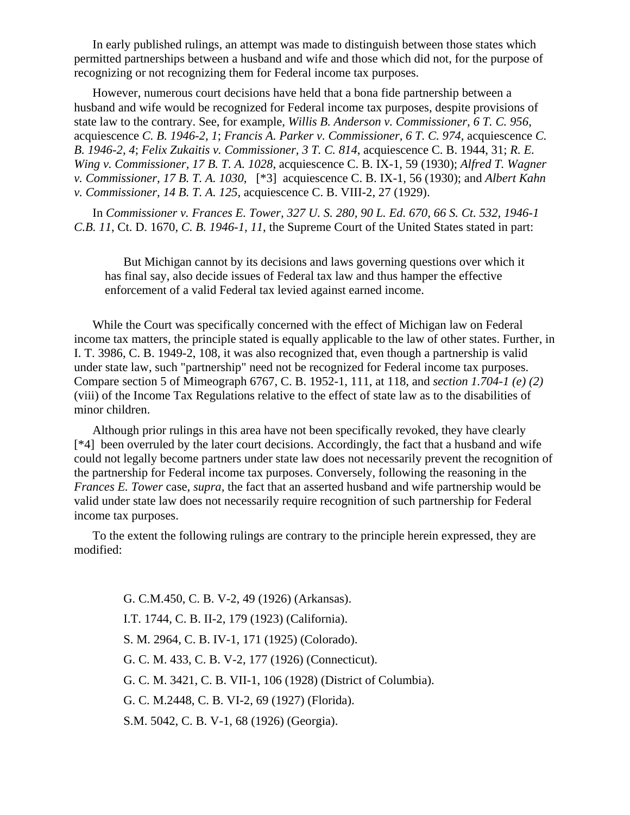In early published rulings, an attempt was made to distinguish between those states which permitted partnerships between a husband and wife and those which did not, for the purpose of recognizing or not recognizing them for Federal income tax purposes.

However, numerous court decisions have held that a bona fide partnership between a husband and wife would be recognized for Federal income tax purposes, despite provisions of state law to the contrary. See, for example, *Willis B. Anderson v. Commissioner, 6 T. C. 956*, acquiescence *C. B. 1946-2, 1*; *Francis A. Parker v. Commissioner, 6 T. C. 974*, acquiescence *C. B. 1946-2, 4*; *Felix Zukaitis v. Commissioner, 3 T. C. 814*, acquiescence C. B. 1944, 31; *R. E. Wing v. Commissioner, 17 B. T. A. 1028*, acquiescence C. B. IX-1, 59 (1930); *Alfred T. Wagner v. Commissioner, 17 B. T. A. 1030*, [\*3] acquiescence C. B. IX-1, 56 (1930); and *Albert Kahn v. Commissioner, 14 B. T. A. 125*, acquiescence C. B. VIII-2, 27 (1929).

In *Commissioner v. Frances E. Tower, 327 U. S. 280, 90 L. Ed. 670, 66 S. Ct. 532, 1946-1 C.B. 11*, Ct. D. 1670, *C. B. 1946-1, 11*, the Supreme Court of the United States stated in part:

But Michigan cannot by its decisions and laws governing questions over which it has final say, also decide issues of Federal tax law and thus hamper the effective enforcement of a valid Federal tax levied against earned income.

While the Court was specifically concerned with the effect of Michigan law on Federal income tax matters, the principle stated is equally applicable to the law of other states. Further, in I. T. 3986, C. B. 1949-2, 108, it was also recognized that, even though a partnership is valid under state law, such "partnership" need not be recognized for Federal income tax purposes. Compare section 5 of Mimeograph 6767, C. B. 1952-1, 111, at 118, and *section 1.704-1 (e) (2)* (viii) of the Income Tax Regulations relative to the effect of state law as to the disabilities of minor children.

Although prior rulings in this area have not been specifically revoked, they have clearly [\*4] been overruled by the later court decisions. Accordingly, the fact that a husband and wife could not legally become partners under state law does not necessarily prevent the recognition of the partnership for Federal income tax purposes. Conversely, following the reasoning in the *Frances E. Tower* case, *supra,* the fact that an asserted husband and wife partnership would be valid under state law does not necessarily require recognition of such partnership for Federal income tax purposes.

To the extent the following rulings are contrary to the principle herein expressed, they are modified:

> G. C.M.450, C. B. V-2, 49 (1926) (Arkansas). I.T. 1744, C. B. II-2, 179 (1923) (California). S. M. 2964, C. B. IV-1, 171 (1925) (Colorado). G. C. M. 433, C. B. V-2, 177 (1926) (Connecticut). G. C. M. 3421, C. B. VII-1, 106 (1928) (District of Columbia). G. C. M.2448, C. B. VI-2, 69 (1927) (Florida). S.M. 5042, C. B. V-1, 68 (1926) (Georgia).